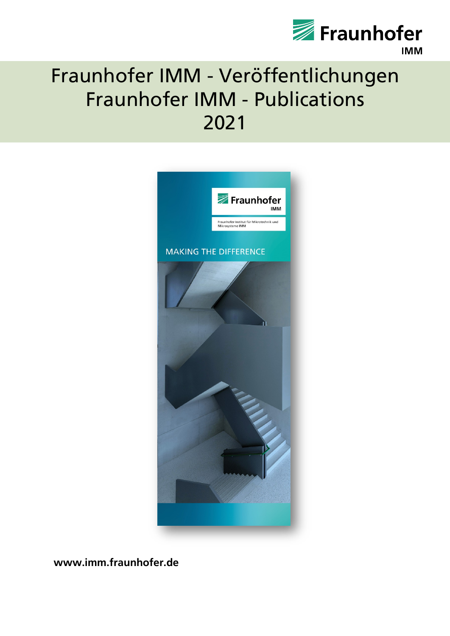

# Fraunhofer IMM - Veröffentlichungen Fraunhofer IMM - Publications 2021



**www.imm.fraunhofer.de**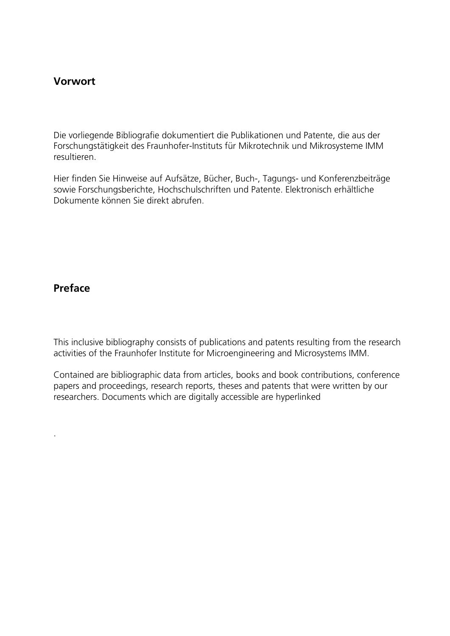### **Vorwort**

Die vorliegende Bibliografie dokumentiert die Publikationen und Patente, die aus der Forschungstätigkeit des Fraunhofer-Instituts für Mikrotechnik und Mikrosysteme IMM resultieren.

Hier finden Sie Hinweise auf Aufsätze, Bücher, Buch-, Tagungs- und Konferenzbeiträge sowie Forschungsberichte, Hochschulschriften und Patente. Elektronisch erhältliche Dokumente können Sie direkt abrufen.

#### **Preface**

.

This inclusive bibliography consists of publications and patents resulting from the research activities of the Fraunhofer Institute for Microengineering and Microsystems IMM.

Contained are bibliographic data from articles, books and book contributions, conference papers and proceedings, research reports, theses and patents that were written by our researchers. Documents which are digitally accessible are hyperlinked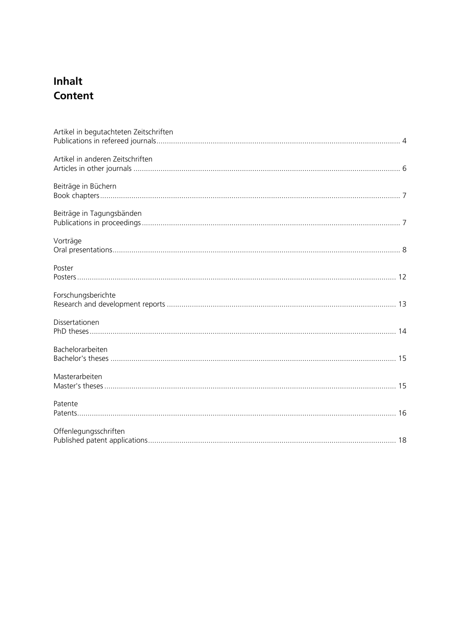## Inhalt **Content**

| Artikel in begutachteten Zeitschriften |  |
|----------------------------------------|--|
| Artikel in anderen Zeitschriften       |  |
| Beiträge in Büchern                    |  |
| Beiträge in Tagungsbänden              |  |
| Vorträge                               |  |
| Poster                                 |  |
| Forschungsberichte                     |  |
| Dissertationen                         |  |
| Bachelorarbeiten                       |  |
| Masterarbeiten                         |  |
| Patente                                |  |
| Offenlegungsschriften                  |  |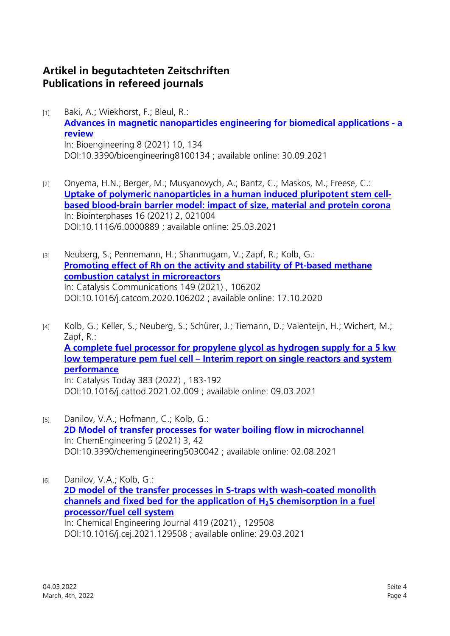## <span id="page-3-0"></span>**Artikel in begutachteten Zeitschriften Publications in refereed journals**

- [1] Baki, A.; Wiekhorst, F.; Bleul, R.: **[Advances in magnetic nanoparticles engineering for biomedical applications -](https://www.doi.org/10.3390/bioengineering8100134) a [review](https://www.doi.org/10.3390/bioengineering8100134)** In: Bioengineering 8 (2021) 10, 134 DOI:10.3390/bioengineering8100134 ; available online: 30.09.2021
- [2] Onyema, H.N.; Berger, M.; Musyanovych, A.; Bantz, C.; Maskos, M.; Freese, C.: **[Uptake of polymeric nanoparticles in a human induced pluripotent stem cell](https://www.doi.org/10.1116/6.0000889)[based blood-brain barrier model: impact of size, material and protein corona](https://www.doi.org/10.1116/6.0000889)** In: Biointerphases 16 (2021) 2, 021004 DOI:10.1116/6.0000889 ; available online: 25.03.2021
- [3] Neuberg, S.; Pennemann, H.; Shanmugam, V.; Zapf, R.; Kolb, G.: **[Promoting effect of Rh on the activity and stability of Pt-based methane](https://www.doi.org/10.1016/j.catcom.2020.106202)  [combustion catalyst in microreactors](https://www.doi.org/10.1016/j.catcom.2020.106202)** In: Catalysis Communications 149 (2021) , 106202 DOI:10.1016/j.catcom.2020.106202 ; available online: 17.10.2020
- [4] Kolb, G.; Keller, S.; Neuberg, S.; Schürer, J.; Tiemann, D.; Valenteijn, H.; Wichert, M.; Zapf, R.: **[A complete fuel processor for propylene glycol as hydrogen supply for a 5 kw](https://www.doi.org/10.1016/j.cattod.2021.02.009)  low temperature pem fuel cell – [Interim report on single reactors and system](https://www.doi.org/10.1016/j.cattod.2021.02.009)  [performance](https://www.doi.org/10.1016/j.cattod.2021.02.009)** In: Catalysis Today 383 (2022) , 183-192 DOI:10.1016/j.cattod.2021.02.009 ; available online: 09.03.2021
- [5] Danilov, V.A.; Hofmann, C.; Kolb, G.: **[2D Model of transfer processes for water boiling flow in microchannel](https://www.doi.org/10.3390/chemengineering5030042)** In: ChemEngineering 5 (2021) 3, 42 DOI:10.3390/chemengineering5030042 ; available online: 02.08.2021
- [6] Danilov, V.A.; Kolb, G.: **[2D model of the transfer processes in S-traps with wash-coated monolith](https://www.doi.org/10.1016/j.cej.2021.129508)  [channels and fixed bed for the application of H2S chemisorption in a fuel](https://www.doi.org/10.1016/j.cej.2021.129508)  [processor/fuel cell system](https://www.doi.org/10.1016/j.cej.2021.129508)** In: Chemical Engineering Journal 419 (2021) , 129508 DOI:10.1016/j.cej.2021.129508 ; available online: 29.03.2021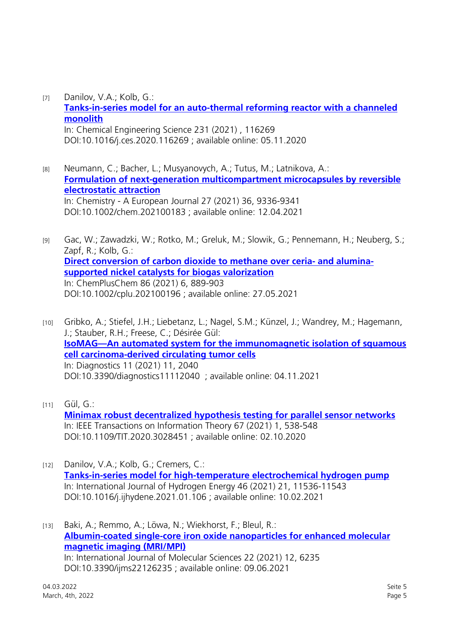- [7] Danilov, V.A.; Kolb, G.: **[Tanks-in-series model for an auto-thermal reforming reactor with a channeled](https://www.doi.org/10.1016/j.ces.2020.116269)  [monolith](https://www.doi.org/10.1016/j.ces.2020.116269)** In: Chemical Engineering Science 231 (2021) , 116269 DOI:10.1016/j.ces.2020.116269 ; available online: 05.11.2020
- [8] Neumann, C.; Bacher, L.; Musyanovych, A.; Tutus, M.; Latnikova, A.: **[Formulation of next-generation multicompartment microcapsules by reversible](http://publica.fraunhofer.de/dokumente/N-635307.html)  [electrostatic attraction](http://publica.fraunhofer.de/dokumente/N-635307.html)** In: Chemistry - A European Journal 27 (2021) 36, 9336-9341 DOI:10.1002/chem.202100183 ; available online: 12.04.2021
- [9] Gac, W.; Zawadzki, W.; Rotko, M.; Greluk, M.; Slowik, G.; Pennemann, H.; Neuberg, S.; Zapf, R.; Kolb, G.: **[Direct conversion of carbon dioxide to methane over ceria-](http://publica.fraunhofer.de/dokumente/N-638949.html) and alumina[supported nickel catalysts for biogas valorization](http://publica.fraunhofer.de/dokumente/N-638949.html)** In: ChemPlusChem 86 (2021) 6, 889-903 DOI:10.1002/cplu.202100196 ; available online: 27.05.2021
- [10] Gribko, A.; Stiefel, J.H.; Liebetanz, L.; Nagel, S.M.; Künzel, J.; Wandrey, M.; Hagemann, J.; Stauber, R.H.; Freese, C.; Désirée Gül: **[IsoMAG—An automated system for the immunomagnetic isolation of squamous](https://www.doi.org/10.3390/diagnostics11112040)  [cell carcinoma-derived circulating tumor cells](https://www.doi.org/10.3390/diagnostics11112040)** In: Diagnostics 11 (2021) 11, 2040 DOI:10.3390/diagnostics11112040 ; available online: 04.11.2021
- [11] Gül, G.: **[Minimax robust decentralized hypothesis testing for parallel sensor networks](http://publica.fraunhofer.de/dokumente/N-615663.html)** In: IEEE Transactions on Information Theory 67 (2021) 1, 538-548 DOI:10.1109/TIT.2020.3028451 ; available online: 02.10.2020
- [12] Danilov, V.A.; Kolb, G.; Cremers, C.: **[Tanks-in-series model for high-temperature electrochemical hydrogen pump](https://www.doi.org/10.1016/j.ijhydene.2021.01.106)** In: International Journal of Hydrogen Energy 46 (2021) 21, 11536-11543 DOI:10.1016/j.ijhydene.2021.01.106 ; available online: 10.02.2021
- [13] Baki, A.; Remmo, A.; Löwa, N.; Wiekhorst, F.; Bleul, R.: **[Albumin-coated single-core iron oxide nanoparticles for enhanced molecular](https://www.doi.org/10.3390/ijms22126235)  [magnetic imaging \(MRI/MPI\)](https://www.doi.org/10.3390/ijms22126235)** In: International Journal of Molecular Sciences 22 (2021) 12, 6235 DOI:10.3390/ijms22126235 ; available online: 09.06.2021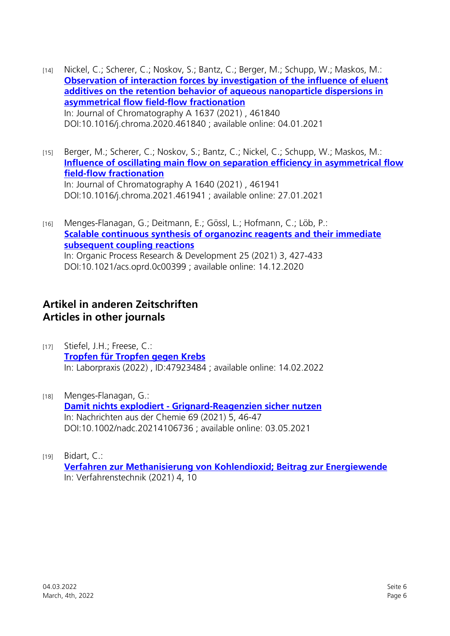- [14] Nickel, C.; Scherer, C.; Noskov, S.; Bantz, C.; Berger, M.; Schupp, W.; Maskos, M.: **[Observation of interaction forces by investigation of the influence of eluent](https://www.doi.org/10.1016/j.chroma.2020.461840)  [additives on the retention behavior of aqueous nanoparticle dispersions in](https://www.doi.org/10.1016/j.chroma.2020.461840)  [asymmetrical flow field-flow fractionation](https://www.doi.org/10.1016/j.chroma.2020.461840)** In: Journal of Chromatography A 1637 (2021) , 461840 DOI:10.1016/j.chroma.2020.461840 ; available online: 04.01.2021
- [15] Berger, M.; Scherer, C.; Noskov, S.; Bantz, C.; Nickel, C.; Schupp, W.; Maskos, M.: **[Influence of oscillating main flow on separation efficiency in asymmetrical flow](https://www.doi.org/10.1016/j.chroma.2021.461941)  [field-flow fractionation](https://www.doi.org/10.1016/j.chroma.2021.461941)** In: Journal of Chromatography A 1640 (2021) , 461941 DOI:10.1016/j.chroma.2021.461941 ; available online: 27.01.2021
- [16] Menges-Flanagan, G.; Deitmann, E.; Gössl, L.; Hofmann, C.; Löb, P.: **[Scalable continuous synthesis of organozinc reagents and their immediate](https://www.doi.org/10.1021/acs.oprd.0c00399)  [subsequent coupling reactions](https://www.doi.org/10.1021/acs.oprd.0c00399)** In: Organic Process Research & Development 25 (2021) 3, 427-433 DOI:10.1021/acs.oprd.0c00399 ; available online: 14.12.2020

## <span id="page-5-0"></span>**Artikel in anderen Zeitschriften Articles in other journals**

- [17] Stiefel, J.H.; Freese, C.: **[Tropfen für Tropfen gegen Krebs](http://publica.fraunhofer.de/dokumente/N-648488.html)** In: Laborpraxis (2022) , ID:47923484 ; available online: 14.02.2022
- [18]Menges-Flanagan, G.: **Damit nichts explodiert - [Grignard-Reagenzien sicher nutzen](http://publica.fraunhofer.de/dokumente/N-635306.html)** In: Nachrichten aus der Chemie 69 (2021) 5, 46-47 DOI:10.1002/nadc.20214106736 ; available online: 03.05.2021
- [19] Bidart, C.: **[Verfahren zur Methanisierung von Kohlendioxid; Beitrag zur Energiewende](http://publica.fraunhofer.de/dokumente/N-634065.html)** In: Verfahrenstechnik (2021) 4, 10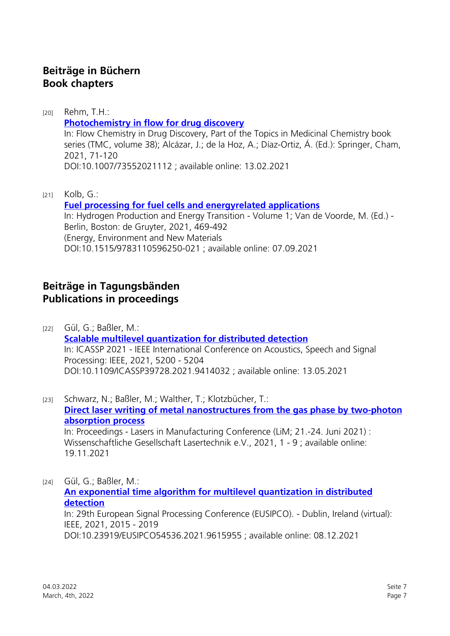## <span id="page-6-0"></span>**Beiträge in Büchern Book chapters**

[20] Rehm, T.H.: **[Photochemistry in flow for drug discovery](http://publica.fraunhofer.de/dokumente/N-647739.html)** In: Flow Chemistry in Drug Discovery, Part of the Topics in Medicinal Chemistry book series (TMC, volume 38); Alcázar, J.; de la Hoz, A.; Díaz-Ortiz, Á. (Ed.): Springer, Cham, 2021, 71-120 DOI:10.1007/73552021112 ; available online: 13.02.2021

[21] Kolb, G.:

**[Fuel processing for fuel cells and energyrelated applications](http://publica.fraunhofer.de/dokumente/N-642679.html)** In: Hydrogen Production and Energy Transition - Volume 1; Van de Voorde, M. (Ed.) - Berlin, Boston: de Gruyter, 2021, 469-492 (Energy, Environment and New Materials DOI:10.1515/9783110596250-021 ; available online: 07.09.2021

## <span id="page-6-1"></span>**Beiträge in Tagungsbänden Publications in proceedings**

[22] Gül, G.; Baßler, M.: **[Scalable multilevel quantization for distributed detection](http://publica.fraunhofer.de/dokumente/N-638951.html)** In: ICASSP 2021 - IEEE International Conference on Acoustics, Speech and Signal Processing: IEEE, 2021, 5200 - 5204 DOI:10.1109/ICASSP39728.2021.9414032 ; available online: 13.05.2021

[23] Schwarz, N.; Baßler, M.; Walther, T.; Klotzbücher, T.: **Direct laser [writing of metal nanostructures from the gas phase by two-photon](http://publica.fraunhofer.de/dokumente/N-647740.html)  [absorption process](http://publica.fraunhofer.de/dokumente/N-647740.html)** In: Proceedings - Lasers in Manufacturing Conference (LiM; 21.-24. Juni 2021) : Wissenschaftliche Gesellschaft Lasertechnik e.V., 2021, 1 - 9 ; available online: 19.11.2021

[24] Gül, G.; Baßler, M.: **[An exponential time algorithm for multilevel quantization in distributed](http://publica.fraunhofer.de/dokumente/N-644073.html)  [detection](http://publica.fraunhofer.de/dokumente/N-644073.html)** In: 29th European Signal Processing Conference (EUSIPCO). - Dublin, Ireland (virtual): IEEE, 2021, 2015 - 2019 DOI:10.23919/EUSIPCO54536.2021.9615955 ; available online: 08.12.2021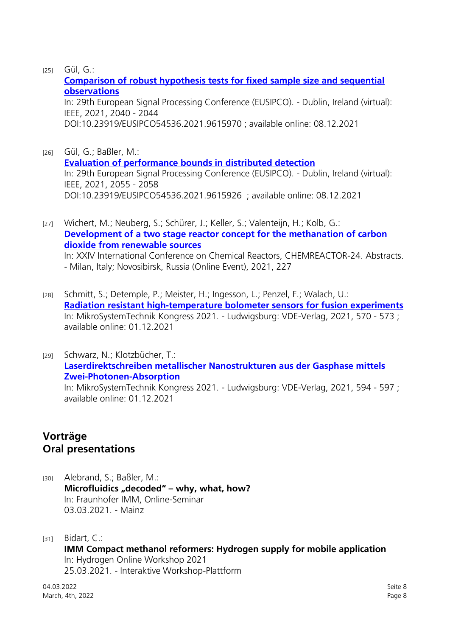[25] Gül, G.:

**[Comparison of robust hypothesis tests for fixed sample size and sequential](http://publica.fraunhofer.de/dokumente/N-644074.html)  [observations](http://publica.fraunhofer.de/dokumente/N-644074.html)**

In: 29th European Signal Processing Conference (EUSIPCO). - Dublin, Ireland (virtual): IEEE, 2021, 2040 - 2044 DOI:10.23919/EUSIPCO54536.2021.9615970 ; available online: 08.12.2021

- [26] Gül, G.; Baßler, M.: **[Evaluation of performance bounds in distributed detection](http://publica.fraunhofer.de/dokumente/N-644075.html)** In: 29th European Signal Processing Conference (EUSIPCO). - Dublin, Ireland (virtual): IEEE, 2021, 2055 - 2058 DOI:10.23919/EUSIPCO54536.2021.9615926 ; available online: 08.12.2021
- [27] Wichert, M.; Neuberg, S.; Schürer, J.; Keller, S.; Valenteijn, H.; Kolb, G.: **[Development of a two stage reactor concept for the methanation of carbon](http://publica.fraunhofer.de/dokumente/N-644071.html)  [dioxide from renewable sources](http://publica.fraunhofer.de/dokumente/N-644071.html)** In: XXIV International Conference on Chemical Reactors, CHEMREACTOR-24. Abstracts. - Milan, Italy; Novosibirsk, Russia (Online Event), 2021, 227
- [28] Schmitt, S.; Detemple, P.; Meister, H.; Ingesson, L.; Penzel, F.; Walach, U.: **[Radiation resistant high-temperature bolometer sensors for fusion experiments](http://publica.fraunhofer.de/dokumente/N-647743.html)** In: MikroSystemTechnik Kongress 2021. - Ludwigsburg: VDE-Verlag, 2021, 570 - 573 ; available online: 01.12.2021
- [29] Schwarz, N.; Klotzbücher, T.: **[Laserdirektschreiben metallischer Nanostrukturen aus der Gasphase mittels](http://publica.fraunhofer.de/dokumente/N-647742.html)  [Zwei-Photonen-Absorption](http://publica.fraunhofer.de/dokumente/N-647742.html)** In: MikroSystemTechnik Kongress 2021. - Ludwigsburg: VDE-Verlag, 2021, 594 - 597 ; available online: 01.12.2021

## <span id="page-7-0"></span>**Vorträge Oral presentations**

- [30] Alebrand, S.; Baßler, M.: **Microfluidics "decoded" – why, what, how?** In: Fraunhofer IMM, Online-Seminar 03.03.2021. - Mainz
- [31] Bidart, C.: **IMM Compact methanol reformers: Hydrogen supply for mobile application** In: Hydrogen Online Workshop 2021 25.03.2021. - Interaktive Workshop-Plattform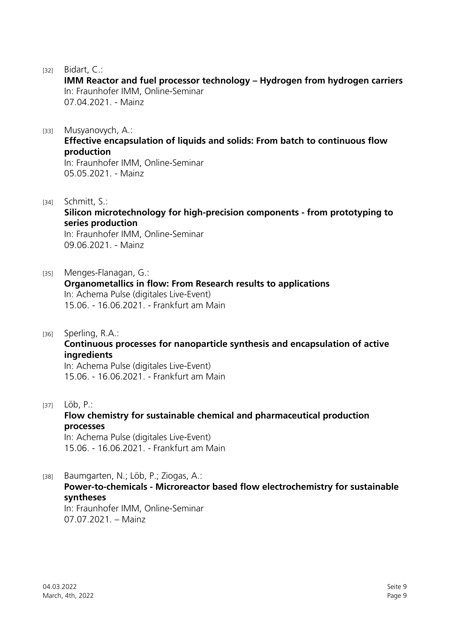[32] Bidart, C.:

**IMM Reactor and fuel processor technology – Hydrogen from hydrogen carriers** In: Fraunhofer IMM, Online-Seminar 07.04.2021. - Mainz

[33] Musyanovych, A.:

**Effective encapsulation of liquids and solids: From batch to continuous flow production**

In: Fraunhofer IMM, Online-Seminar 05.05.2021. - Mainz

[34] Schmitt, S.:

**Silicon microtechnology for high-precision components - from prototyping to series production**

In: Fraunhofer IMM, Online-Seminar 09.06.2021. - Mainz

- [35] Menges-Flanagan, G.: **Organometallics in flow: From Research results to applications** In: Achema Pulse (digitales Live-Event) 15.06. - 16.06.2021. - Frankfurt am Main
- [36] Sperling, R.A.: **Continuous processes for nanoparticle synthesis and encapsulation of active ingredients** In: Achema Pulse (digitales Live-Event)

15.06. - 16.06.2021. - Frankfurt am Main

- [37] Löb, P.: **Flow chemistry for sustainable chemical and pharmaceutical production processes** In: Achema Pulse (digitales Live-Event) 15.06. - 16.06.2021. - Frankfurt am Main
- [38] Baumgarten, N.; Löb, P.; Ziogas, A.: **Power-to-chemicals - Microreactor based flow electrochemistry for sustainable syntheses** In: Fraunhofer IMM, Online-Seminar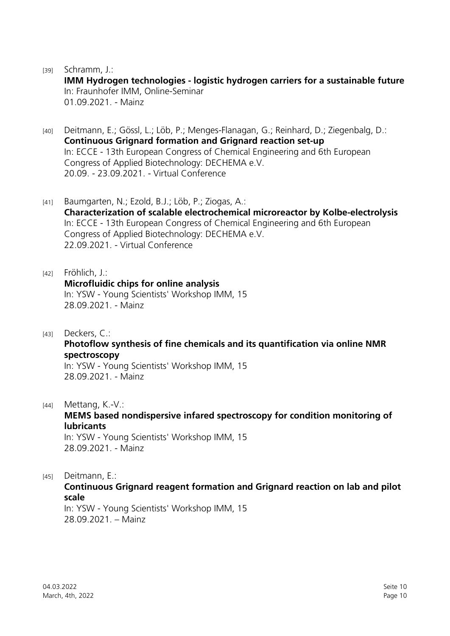[39] Schramm, J.:

**IMM Hydrogen technologies - logistic hydrogen carriers for a sustainable future** In: Fraunhofer IMM, Online-Seminar 01.09.2021. - Mainz

- [40] Deitmann, E.; Gössl, L.; Löb, P.; Menges-Flanagan, G.; Reinhard, D.; Ziegenbalg, D.: **Continuous Grignard formation and Grignard reaction set-up** In: ECCE - 13th European Congress of Chemical Engineering and 6th European Congress of Applied Biotechnology: DECHEMA e.V. 20.09. - 23.09.2021. - Virtual Conference
- [41] Baumgarten, N.; Ezold, B.J.; Löb, P.; Ziogas, A.: **Characterization of scalable electrochemical microreactor by Kolbe-electrolysis** In: ECCE - 13th European Congress of Chemical Engineering and 6th European Congress of Applied Biotechnology: DECHEMA e.V. 22.09.2021. - Virtual Conference
- [42] Fröhlich, J.: **Microfluidic chips for online analysis** In: YSW - Young Scientists' Workshop IMM, 15 28.09.2021. - Mainz
- [43] Deckers, C.: **Photoflow synthesis of fine chemicals and its quantification via online NMR spectroscopy** In: YSW - Young Scientists' Workshop IMM, 15 28.09.2021. - Mainz

[44] Mettang, K.-V.: **MEMS based nondispersive infared spectroscopy for condition monitoring of lubricants** In: YSW - Young Scientists' Workshop IMM, 15

28.09.2021. - Mainz

[45] Deitmann, E.:

**Continuous Grignard reagent formation and Grignard reaction on lab and pilot scale**

In: YSW - Young Scientists' Workshop IMM, 15 28.09.2021. – Mainz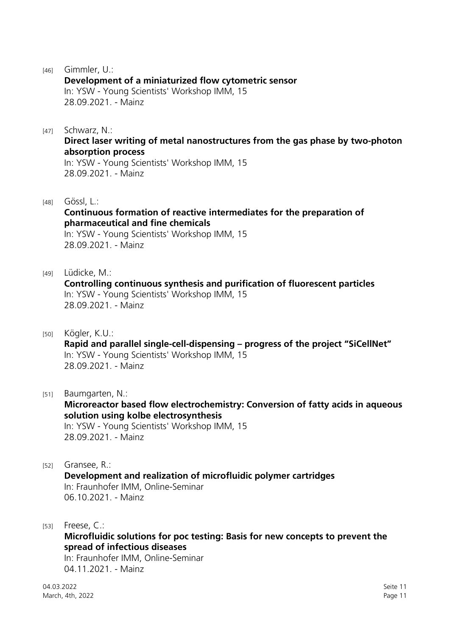- [46] Gimmler, U.: **Development of a miniaturized flow cytometric sensor** In: YSW - Young Scientists' Workshop IMM, 15 28.09.2021. - Mainz
- [47] Schwarz, N.:

**Direct laser writing of metal nanostructures from the gas phase by two-photon absorption process**

In: YSW - Young Scientists' Workshop IMM, 15 28.09.2021. - Mainz

[48] Gössl, L.:

**Continuous formation of reactive intermediates for the preparation of pharmaceutical and fine chemicals**

In: YSW - Young Scientists' Workshop IMM, 15 28.09.2021. - Mainz

- [49] Lüdicke, M.: **Controlling continuous synthesis and purification of fluorescent particles** In: YSW - Young Scientists' Workshop IMM, 15 28.09.2021. - Mainz
- [50] Kögler, K.U.: **Rapid and parallel single-cell-dispensing – progress of the project "SiCellNet"** In: YSW - Young Scientists' Workshop IMM, 15 28.09.2021. - Mainz

[51] Baumgarten, N.: **Microreactor based flow electrochemistry: Conversion of fatty acids in aqueous solution using kolbe electrosynthesis** In: YSW - Young Scientists' Workshop IMM, 15 28.09.2021. - Mainz

[52] Gransee, R.: **Development and realization of microfluidic polymer cartridges** In: Fraunhofer IMM, Online-Seminar 06.10.2021. - Mainz

[53] Freese, C.: **Microfluidic solutions for poc testing: Basis for new concepts to prevent the spread of infectious diseases** In: Fraunhofer IMM, Online-Seminar 04.11.2021 - Mainz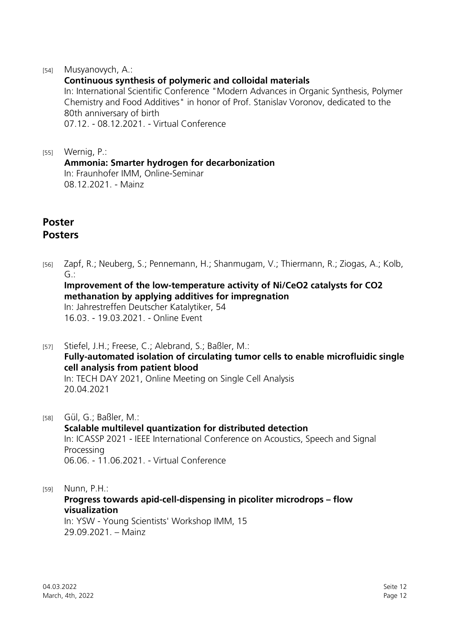#### [54] Musyanovych, A.:

**Continuous synthesis of polymeric and colloidal materials**

In: International Scientific Conference "Modern Advances in Organic Synthesis, Polymer Chemistry and Food Additives" in honor of Prof. Stanislav Voronov, dedicated to the 80th anniversary of birth

07.12. - 08.12.2021. - Virtual Conference

#### [55] Wernig, P.: **Ammonia: Smarter hydrogen for decarbonization** In: Fraunhofer IMM, Online-Seminar 08.12.2021. - Mainz

## <span id="page-11-0"></span>**Poster Posters**

[56] Zapf, R.; Neuberg, S.; Pennemann, H.; Shanmugam, V.; Thiermann, R.; Ziogas, A.; Kolb,  $G$ .:

#### **Improvement of the low-temperature activity of Ni/CeO2 catalysts for CO2 methanation by applying additives for impregnation**

In: Jahrestreffen Deutscher Katalytiker, 54 16.03. - 19.03.2021. - Online Event

- [57] Stiefel, J.H.; Freese, C.; Alebrand, S.; Baßler, M.: **Fully-automated isolation of circulating tumor cells to enable microfluidic single cell analysis from patient blood** In: TECH DAY 2021, Online Meeting on Single Cell Analysis 20.04.2021
- [58] Gül, G.; Baßler, M.: **Scalable multilevel quantization for distributed detection** In: ICASSP 2021 - IEEE International Conference on Acoustics, Speech and Signal Processing 06.06. - 11.06.2021. - Virtual Conference

[59] Nunn, P.H.: **Progress towards apid-cell-dispensing in picoliter microdrops – flow visualization** In: YSW - Young Scientists' Workshop IMM, 15 29.09.2021. – Mainz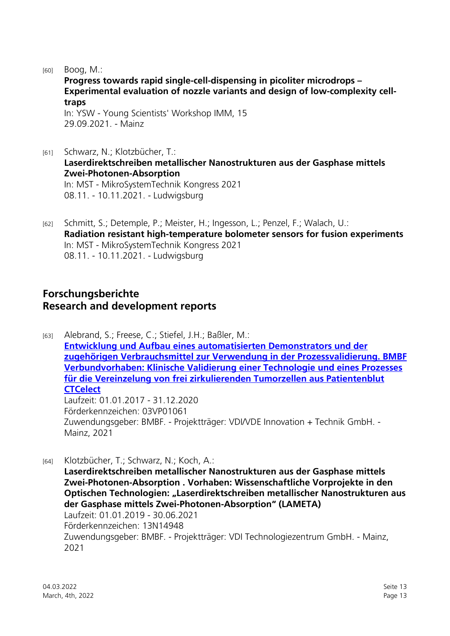[60] Boog, M.:

**Progress towards rapid single-cell-dispensing in picoliter microdrops – Experimental evaluation of nozzle variants and design of low-complexity celltraps**

In: YSW - Young Scientists' Workshop IMM, 15 29.09.2021. - Mainz

- [61] Schwarz, N.; Klotzbücher, T.: **Laserdirektschreiben metallischer Nanostrukturen aus der Gasphase mittels Zwei-Photonen-Absorption** In: MST - MikroSystemTechnik Kongress 2021 08.11. - 10.11.2021. - Ludwigsburg
- [62] Schmitt, S.; Detemple, P.; Meister, H.; Ingesson, L.; Penzel, F.; Walach, U.: **Radiation resistant high-temperature bolometer sensors for fusion experiments** In: MST - MikroSystemTechnik Kongress 2021 08.11. - 10.11.2021. - Ludwigsburg

## <span id="page-12-0"></span>**Forschungsberichte Research and development reports**

[63] Alebrand, S.; Freese, C.; Stiefel, J.H.; Baßler, M.: **[Entwicklung und Aufbau eines automatisierten Demonstrators und der](http://publica.fraunhofer.de/dokumente/N-647741.html)  [zugehörigen Verbrauchsmittel zur Verwendung in der Prozessvalidierung. BMBF](http://publica.fraunhofer.de/dokumente/N-647741.html)  [Verbundvorhaben: Klinische Validierung einer Technologie und eines Prozesses](http://publica.fraunhofer.de/dokumente/N-647741.html)  [für die Vereinzelung von frei zirkulierenden Tumorzellen aus Patientenblut](http://publica.fraunhofer.de/dokumente/N-647741.html)  [CTCelect](http://publica.fraunhofer.de/dokumente/N-647741.html)** Laufzeit: 01.01.2017 - 31.12.2020 Förderkennzeichen: 03VP01061 Zuwendungsgeber: BMBF. - Projektträger: VDI/VDE Innovation + Technik GmbH. - Mainz, 2021

[64] Klotzbücher, T.; Schwarz, N.; Koch, A.: **Laserdirektschreiben metallischer Nanostrukturen aus der Gasphase mittels Zwei-Photonen-Absorption . Vorhaben: Wissenschaftliche Vorprojekte in den Optischen Technologien: "Laserdirektschreiben metallischer Nanostrukturen aus der Gasphase mittels Zwei-Photonen-Absorption" (LAMETA)** Laufzeit: 01.01.2019 - 30.06.2021 Förderkennzeichen: 13N14948 Zuwendungsgeber: BMBF. - Projektträger: VDI Technologiezentrum GmbH. - Mainz, 2021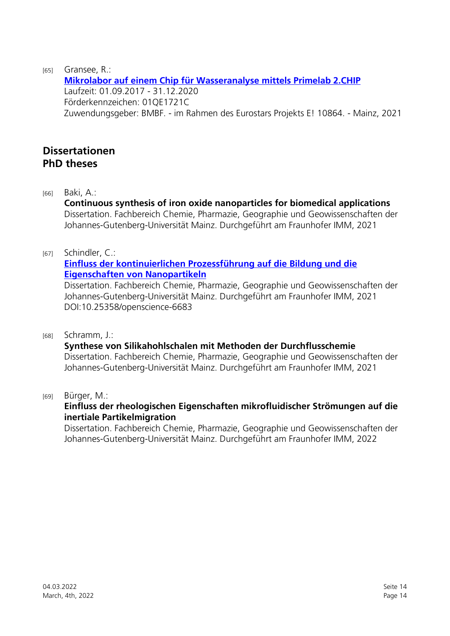[65] Gransee, R.:

**[Mikrolabor auf einem Chip für Wasseranalyse mittels Primelab 2.CHIP](http://publica.fraunhofer.de/dokumente/N-644070.html)** Laufzeit: 01.09.2017 - 31.12.2020 Förderkennzeichen: 01QE1721C Zuwendungsgeber: BMBF. - im Rahmen des Eurostars Projekts E! 10864. - Mainz, 2021

## <span id="page-13-0"></span>**Dissertationen PhD theses**

[66] Baki, A.:

#### **Continuous synthesis of iron oxide nanoparticles for biomedical applications** Dissertation. Fachbereich Chemie, Pharmazie, Geographie und Geowissenschaften der Johannes-Gutenberg-Universität Mainz. Durchgeführt am Fraunhofer IMM, 2021

[67] Schindler, C.:

#### **[Einfluss der kontinuierlichen Prozessführung auf die Bildung und die](https://www.doi.org/10.25358/openscience-6683)  [Eigenschaften von Nanopartikeln](https://www.doi.org/10.25358/openscience-6683)**

Dissertation. Fachbereich Chemie, Pharmazie, Geographie und Geowissenschaften der Johannes-Gutenberg-Universität Mainz. Durchgeführt am Fraunhofer IMM, 2021 DOI:10.25358/openscience-6683

[68] Schramm, J.:

#### **Synthese von Silikahohlschalen mit Methoden der Durchflusschemie**

Dissertation. Fachbereich Chemie, Pharmazie, Geographie und Geowissenschaften der Johannes-Gutenberg-Universität Mainz. Durchgeführt am Fraunhofer IMM, 2021

#### [69] Bürger, M.:

#### **Einfluss der rheologischen Eigenschaften mikrofluidischer Strömungen auf die inertiale Partikelmigration**

Dissertation. Fachbereich Chemie, Pharmazie, Geographie und Geowissenschaften der Johannes-Gutenberg-Universität Mainz. Durchgeführt am Fraunhofer IMM, 2022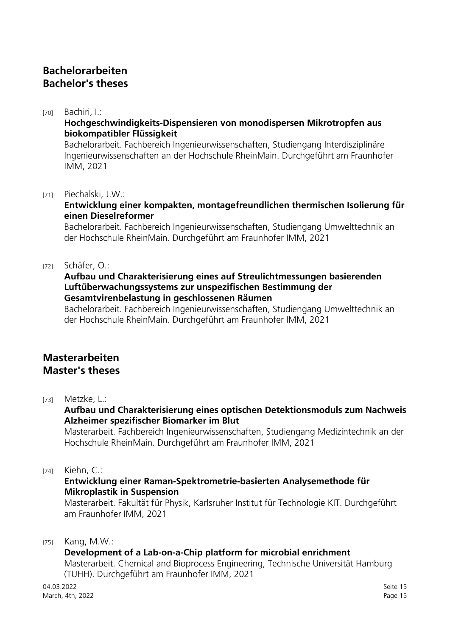## <span id="page-14-0"></span>**Bachelorarbeiten Bachelor's theses**

#### [70] Bachiri, I.:

#### **Hochgeschwindigkeits-Dispensieren von monodispersen Mikrotropfen aus biokompatibler Flüssigkeit**

Bachelorarbeit. Fachbereich Ingenieurwissenschaften, Studiengang Interdisziplinäre Ingenieurwissenschaften an der Hochschule RheinMain. Durchgeführt am Fraunhofer IMM, 2021

#### [71] Piechalski, J.W.:

#### **Entwicklung einer kompakten, montagefreundlichen thermischen Isolierung für einen Dieselreformer**

Bachelorarbeit. Fachbereich Ingenieurwissenschaften, Studiengang Umwelttechnik an der Hochschule RheinMain. Durchgeführt am Fraunhofer IMM, 2021

#### [72] Schäfer, O.:

#### **Aufbau und Charakterisierung eines auf Streulichtmessungen basierenden Luftüberwachungssystems zur unspezifischen Bestimmung der Gesamtvirenbelastung in geschlossenen Räumen**

Bachelorarbeit. Fachbereich Ingenieurwissenschaften, Studiengang Umwelttechnik an der Hochschule RheinMain. Durchgeführt am Fraunhofer IMM, 2021

## <span id="page-14-1"></span>**Masterarbeiten Master's theses**

#### [73] Metzke, L.:

#### **Aufbau und Charakterisierung eines optischen Detektionsmoduls zum Nachweis Alzheimer spezifischer Biomarker im Blut**

Masterarbeit. Fachbereich Ingenieurwissenschaften, Studiengang Medizintechnik an der Hochschule RheinMain. Durchgeführt am Fraunhofer IMM, 2021

[74] Kiehn, C.:

#### **Entwicklung einer Raman-Spektrometrie-basierten Analysemethode für Mikroplastik in Suspension**

Masterarbeit. Fakultät für Physik, Karlsruher Institut für Technologie KIT. Durchgeführt am Fraunhofer IMM, 2021

[75] Kang, M.W.:

#### **Development of a Lab-on-a-Chip platform for microbial enrichment**

Masterarbeit. Chemical and Bioprocess Engineering, Technische Universität Hamburg (TUHH). Durchgeführt am Fraunhofer IMM, 2021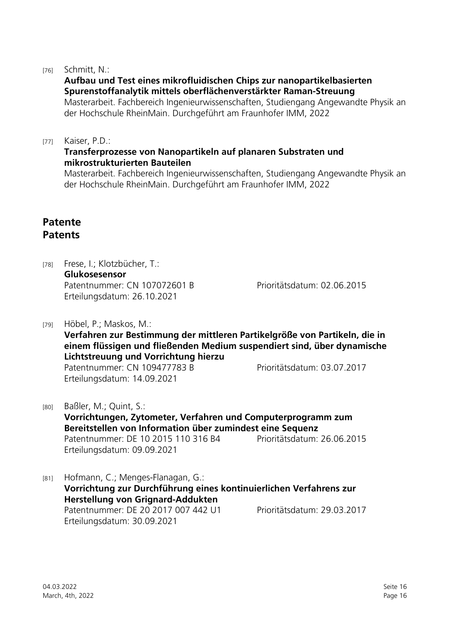#### 04.03.2022 Seite 16 March, 4th, 2022 **Page 16**

#### [76] Schmitt, N.:

#### **Aufbau und Test eines mikrofluidischen Chips zur nanopartikelbasierten Spurenstoffanalytik mittels oberflächenverstärkter Raman-Streuung**

Masterarbeit. Fachbereich Ingenieurwissenschaften, Studiengang Angewandte Physik an der Hochschule RheinMain. Durchgeführt am Fraunhofer IMM, 2022

#### [77] Kaiser, P.D.:

#### **Transferprozesse von Nanopartikeln auf planaren Substraten und mikrostrukturierten Bauteilen**

Masterarbeit. Fachbereich Ingenieurwissenschaften, Studiengang Angewandte Physik an der Hochschule RheinMain. Durchgeführt am Fraunhofer IMM, 2022

## <span id="page-15-0"></span>**Patente Patents**

[78] Frese, I.; Klotzbücher, T.: **Glukosesensor** Patentnummer: CN 107072601 B Prioritätsdatum: 02.06.2015 Erteilungsdatum: 26.10.2021

[79] Höbel, P.; Maskos, M.: **Verfahren zur Bestimmung der mittleren Partikelgröße von Partikeln, die in einem flüssigen und fließenden Medium suspendiert sind, über dynamische Lichtstreuung und Vorrichtung hierzu** Patentnummer: CN 109477783 B Prioritätsdatum: 03.07.2017 Erteilungsdatum: 14.09.2021

[80] Baßler, M.; Quint, S.: **Vorrichtungen, Zytometer, Verfahren und Computerprogramm zum Bereitstellen von Information über zumindest eine Sequenz** Patentnummer: DE 10 2015 110 316 B4 Prioritätsdatum: 26.06.2015 Erteilungsdatum: 09.09.2021

- [81] Hofmann, C.; Menges-Flanagan, G.: **Vorrichtung zur Durchführung eines kontinuierlichen Verfahrens zur Herstellung von Grignard-Addukten** Patentnummer: DE 20 2017 007 442 U1 Prioritätsdatum: 29.03.2017 Erteilungsdatum: 30.09.2021
-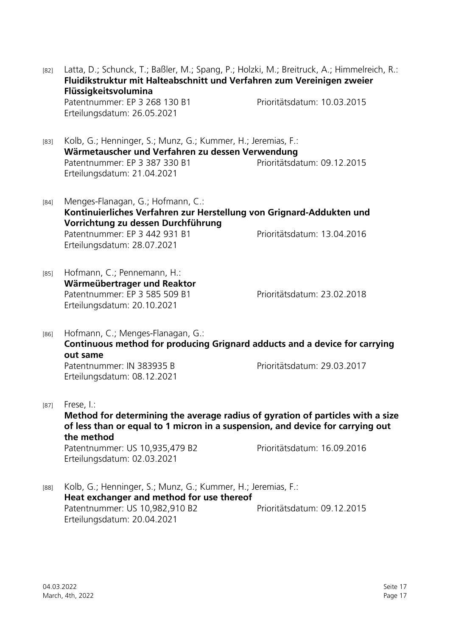**Flüssigkeitsvolumina** Patentnummer: EP 3 268 130 B1 Prioritätsdatum: 10.03.2015 Erteilungsdatum: 26.05.2021 [83] Kolb, G.; Henninger, S.; Munz, G.; Kummer, H.; Jeremias, F.: **Wärmetauscher und Verfahren zu dessen Verwendung** Patentnummer: EP 3 387 330 B1 Prioritätsdatum: 09.12.2015 Erteilungsdatum: 21.04.2021 [84] Menges-Flanagan, G.; Hofmann, C.: **Kontinuierliches Verfahren zur Herstellung von Grignard-Addukten und Vorrichtung zu dessen Durchführung** Patentnummer: EP 3 442 931 B1 Prioritätsdatum: 13.04.2016 Erteilungsdatum: 28.07.2021 [85] Hofmann, C.; Pennemann, H.: **Wärmeübertrager und Reaktor** Patentnummer: EP 3 585 509 B1 Prioritätsdatum: 23.02.2018 Erteilungsdatum: 20.10.2021 [86] Hofmann, C.; Menges-Flanagan, G.: **Continuous method for producing Grignard adducts and a device for carrying out same** Patentnummer: IN 383935 B Prioritätsdatum: 29.03.2017 Erteilungsdatum: 08.12.2021 [87] Frese, I.: **Method for determining the average radius of gyration of particles with a size of less than or equal to 1 micron in a suspension, and device for carrying out the method** Patentnummer: US 10,935,479 B2 Prioritätsdatum: 16.09.2016 Erteilungsdatum: 02.03.2021 [88] Kolb, G.; Henninger, S.; Munz, G.; Kummer, H.; Jeremias, F.: **Heat exchanger and method for use thereof** Patentnummer: US 10,982,910 B2 Prioritätsdatum: 09.12.2015 Erteilungsdatum: 20.04.2021

[82] Latta, D.; Schunck, T.; Baßler, M.; Spang, P.; Holzki, M.; Breitruck, A.; Himmelreich, R.: **Fluidikstruktur mit Halteabschnitt und Verfahren zum Vereinigen zweier**